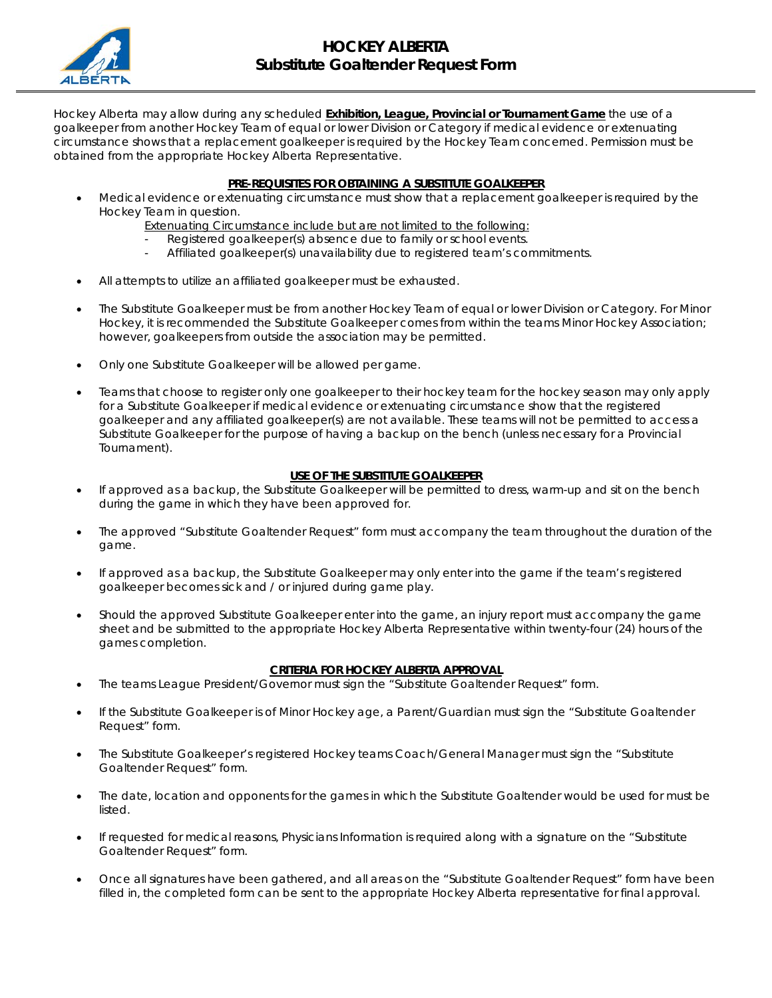

Hockey Alberta may allow during any scheduled **Exhibition, League, Provincial or Tournament Game** the use of a goalkeeper from another Hockey Team of equal or lower Division or Category if medical evidence or extenuating circumstance shows that a replacement goalkeeper is required by the Hockey Team concerned. Permission must be obtained from the appropriate Hockey Alberta Representative.

## **PRE-REQUISITES FOR OBTAINING A SUBSTITUTE GOALKEEPER**

- Medical evidence or extenuating circumstance must show that a replacement goalkeeper is required by the Hockey Team in question.
	- Extenuating Circumstance include but are not limited to the following:
	- Registered goalkeeper(s) absence due to family or school events.
	- Affiliated goalkeeper(s) unavailability due to registered team's commitments.
- All attempts to utilize an affiliated goalkeeper must be exhausted.
- The Substitute Goalkeeper must be from another Hockey Team of equal or lower Division or Category. For Minor Hockey, it is recommended the Substitute Goalkeeper comes from within the teams Minor Hockey Association; however, goalkeepers from outside the association may be permitted.
- Only one Substitute Goalkeeper will be allowed per game.
- Teams that choose to register only one goalkeeper to their hockey team for the hockey season may only apply for a Substitute Goalkeeper if medical evidence or extenuating circumstance show that the registered goalkeeper and any affiliated goalkeeper(s) are not available. These teams will not be permitted to access a Substitute Goalkeeper for the purpose of having a backup on the bench (unless necessary for a Provincial Tournament).

## **USE OF THE SUBSTITUTE GOALKEEPER**

- If approved as a backup, the Substitute Goalkeeper will be permitted to dress, warm-up and sit on the bench during the game in which they have been approved for.
- The approved "Substitute Goaltender Request" form must accompany the team throughout the duration of the game.
- If approved as a backup, the Substitute Goalkeeper may only enter into the game if the team's registered goalkeeper becomes sick and / or injured during game play.
- Should the approved Substitute Goalkeeper enter into the game, an injury report must accompany the game sheet and be submitted to the appropriate Hockey Alberta Representative within twenty-four (24) hours of the games completion.

## **CRITERIA FOR HOCKEY ALBERTA APPROVAL**

- The teams League President/Governor must sign the "Substitute Goaltender Request" form.
- If the Substitute Goalkeeper is of Minor Hockey age, a Parent/Guardian must sign the "Substitute Goaltender Request" form.
- The Substitute Goalkeeper's registered Hockey teams Coach/General Manager must sign the "Substitute" Goaltender Request" form.
- The date, location and opponents for the games in which the Substitute Goaltender would be used for must be listed.
- If requested for medical reasons, Physicians Information is required along with a signature on the "Substitute Goaltender Request" form.
- Once all signatures have been gathered, and all areas on the "Substitute Goaltender Request" form have been filled in, the completed form can be sent to the appropriate Hockey Alberta representative for final approval.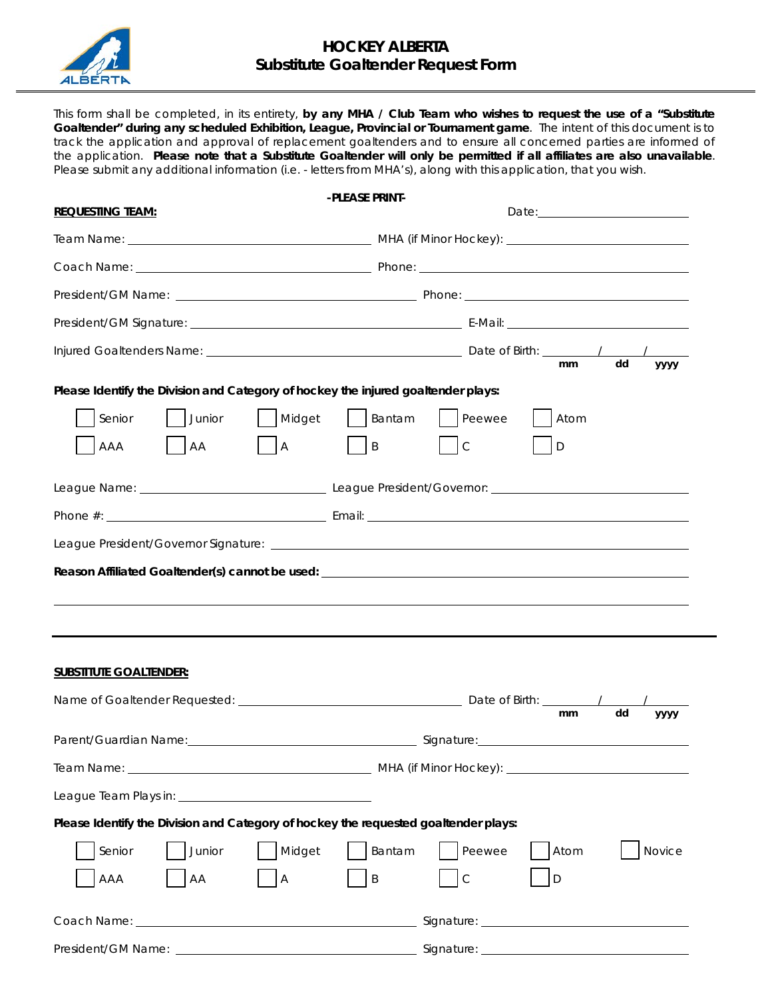

This form shall be completed, in its entirety, **by any MHA / Club Team who wishes to request the use of a "Substitute Goaltender" during any scheduled Exhibition, League, Provincial or Tournament game**. The intent of this document is to track the application and approval of replacement goaltenders and to ensure all concerned parties are informed of the application. **Please note that a Substitute Goaltender will only be permitted if all affiliates are also unavailable**. Please submit any additional information (i.e. - letters from MHA's), along with this application, that you wish.

|                                                                                     | -PLEASE PRINT-                                                     |
|-------------------------------------------------------------------------------------|--------------------------------------------------------------------|
| <b>REQUESTING TEAM:</b>                                                             |                                                                    |
|                                                                                     |                                                                    |
|                                                                                     |                                                                    |
|                                                                                     |                                                                    |
|                                                                                     |                                                                    |
|                                                                                     | dd<br><sub>mm</sub><br>уууу                                        |
| Please Identify the Division and Category of hockey the injured goaltender plays:   |                                                                    |
| Junior<br>  Midget<br>Senior<br><b>AA</b><br>$\overline{A}$<br>AAA                  | Peewee<br>$\vert$ Bantam<br>Atom<br> B <br>$\mathsf C$<br>D        |
|                                                                                     |                                                                    |
|                                                                                     |                                                                    |
|                                                                                     |                                                                    |
|                                                                                     |                                                                    |
| <b>SUBSTITUTE GOALTENDER:</b>                                                       |                                                                    |
|                                                                                     | dd<br>mm<br>уууу                                                   |
|                                                                                     |                                                                    |
|                                                                                     |                                                                    |
|                                                                                     |                                                                    |
| Please Identify the Division and Category of hockey the requested goaltender plays: |                                                                    |
| Junior<br>Midget<br>Senior<br>AA<br>AAA<br>$\boldsymbol{\mathsf{A}}$                | Bantam<br>Peewee<br>Atom<br>Novice<br>$\sf B$<br>$\mathsf{C}$<br>D |
|                                                                                     |                                                                    |
|                                                                                     |                                                                    |
|                                                                                     |                                                                    |